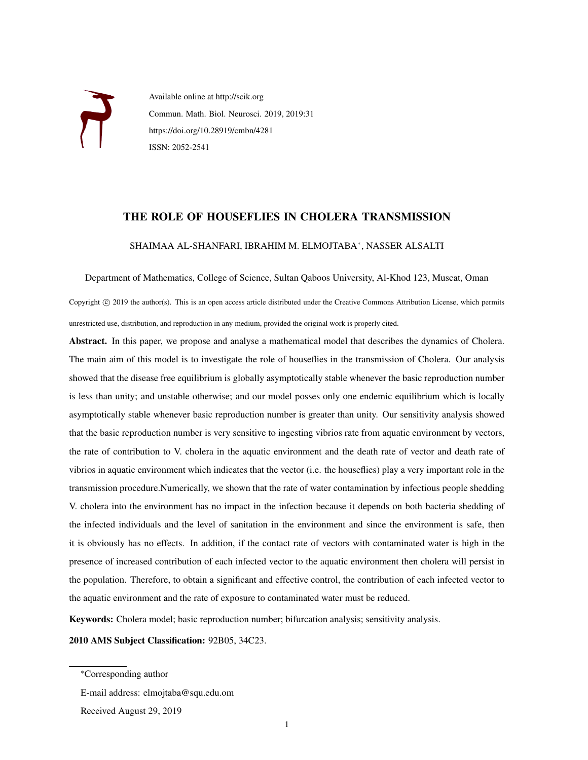

Available online at http://scik.org Commun. Math. Biol. Neurosci. 2019, 2019:31 https://doi.org/10.28919/cmbn/4281 ISSN: 2052-2541

## THE ROLE OF HOUSEFLIES IN CHOLERA TRANSMISSION

## SHAIMAA AL-SHANFARI, IBRAHIM M. ELMOJTABA<sup>∗</sup> , NASSER ALSALTI

Department of Mathematics, College of Science, Sultan Qaboos University, Al-Khod 123, Muscat, Oman

Copyright © 2019 the author(s). This is an open access article distributed under the Creative Commons Attribution License, which permits unrestricted use, distribution, and reproduction in any medium, provided the original work is properly cited.

Abstract. In this paper, we propose and analyse a mathematical model that describes the dynamics of Cholera. The main aim of this model is to investigate the role of houseflies in the transmission of Cholera. Our analysis showed that the disease free equilibrium is globally asymptotically stable whenever the basic reproduction number is less than unity; and unstable otherwise; and our model posses only one endemic equilibrium which is locally asymptotically stable whenever basic reproduction number is greater than unity. Our sensitivity analysis showed that the basic reproduction number is very sensitive to ingesting vibrios rate from aquatic environment by vectors, the rate of contribution to V. cholera in the aquatic environment and the death rate of vector and death rate of vibrios in aquatic environment which indicates that the vector (i.e. the houseflies) play a very important role in the transmission procedure.Numerically, we shown that the rate of water contamination by infectious people shedding V. cholera into the environment has no impact in the infection because it depends on both bacteria shedding of the infected individuals and the level of sanitation in the environment and since the environment is safe, then it is obviously has no effects. In addition, if the contact rate of vectors with contaminated water is high in the presence of increased contribution of each infected vector to the aquatic environment then cholera will persist in the population. Therefore, to obtain a significant and effective control, the contribution of each infected vector to the aquatic environment and the rate of exposure to contaminated water must be reduced.

Keywords: Cholera model; basic reproduction number; bifurcation analysis; sensitivity analysis.

2010 AMS Subject Classification: 92B05, 34C23.

<sup>∗</sup>Corresponding author

E-mail address: elmojtaba@squ.edu.om

Received August 29, 2019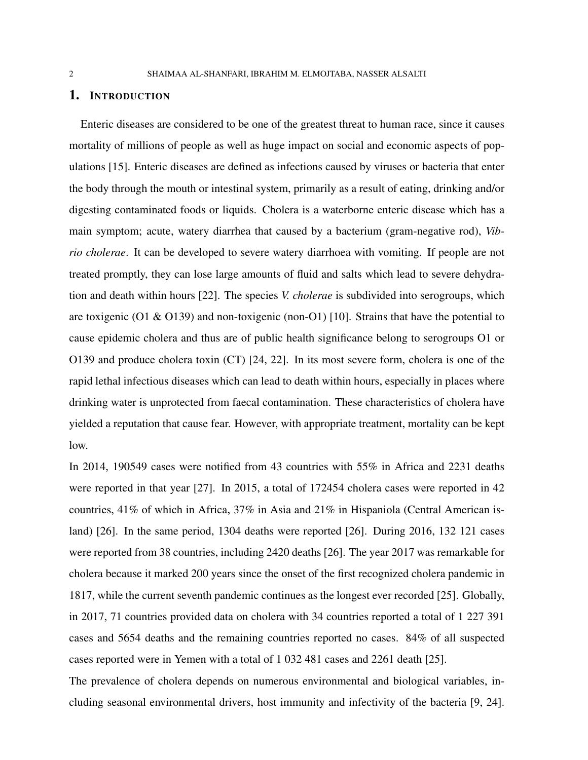#### 1. INTRODUCTION

Enteric diseases are considered to be one of the greatest threat to human race, since it causes mortality of millions of people as well as huge impact on social and economic aspects of populations [15]. Enteric diseases are defined as infections caused by viruses or bacteria that enter the body through the mouth or intestinal system, primarily as a result of eating, drinking and/or digesting contaminated foods or liquids. Cholera is a waterborne enteric disease which has a main symptom; acute, watery diarrhea that caused by a bacterium (gram-negative rod), *Vibrio cholerae*. It can be developed to severe watery diarrhoea with vomiting. If people are not treated promptly, they can lose large amounts of fluid and salts which lead to severe dehydration and death within hours [22]. The species *V. cholerae* is subdivided into serogroups, which are toxigenic (O1 & O139) and non-toxigenic (non-O1) [10]. Strains that have the potential to cause epidemic cholera and thus are of public health significance belong to serogroups O1 or O139 and produce cholera toxin (CT) [24, 22]. In its most severe form, cholera is one of the rapid lethal infectious diseases which can lead to death within hours, especially in places where drinking water is unprotected from faecal contamination. These characteristics of cholera have yielded a reputation that cause fear. However, with appropriate treatment, mortality can be kept low.

In 2014, 190549 cases were notified from 43 countries with 55% in Africa and 2231 deaths were reported in that year [27]. In 2015, a total of 172454 cholera cases were reported in 42 countries, 41% of which in Africa, 37% in Asia and 21% in Hispaniola (Central American island) [26]. In the same period, 1304 deaths were reported [26]. During 2016, 132 121 cases were reported from 38 countries, including 2420 deaths [26]. The year 2017 was remarkable for cholera because it marked 200 years since the onset of the first recognized cholera pandemic in 1817, while the current seventh pandemic continues as the longest ever recorded [25]. Globally, in 2017, 71 countries provided data on cholera with 34 countries reported a total of 1 227 391 cases and 5654 deaths and the remaining countries reported no cases. 84% of all suspected cases reported were in Yemen with a total of 1 032 481 cases and 2261 death [25].

The prevalence of cholera depends on numerous environmental and biological variables, including seasonal environmental drivers, host immunity and infectivity of the bacteria [9, 24].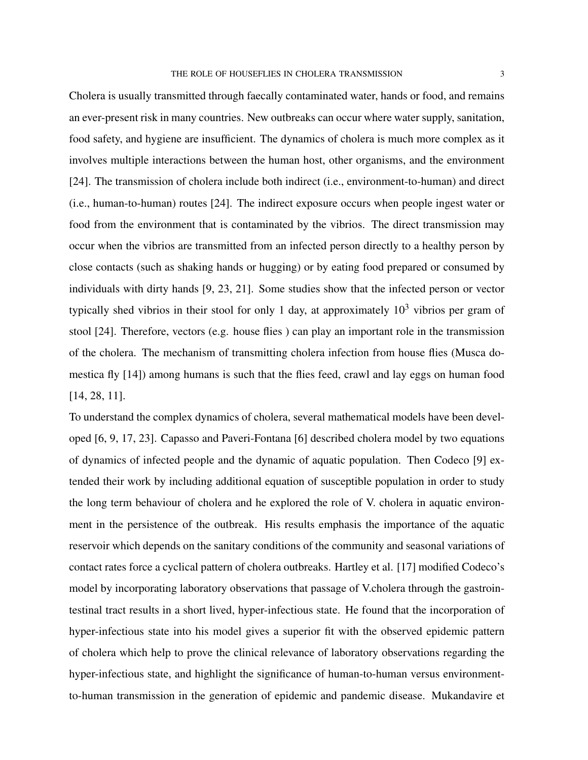Cholera is usually transmitted through faecally contaminated water, hands or food, and remains an ever-present risk in many countries. New outbreaks can occur where water supply, sanitation, food safety, and hygiene are insufficient. The dynamics of cholera is much more complex as it involves multiple interactions between the human host, other organisms, and the environment [24]. The transmission of cholera include both indirect (i.e., environment-to-human) and direct (i.e., human-to-human) routes [24]. The indirect exposure occurs when people ingest water or food from the environment that is contaminated by the vibrios. The direct transmission may occur when the vibrios are transmitted from an infected person directly to a healthy person by close contacts (such as shaking hands or hugging) or by eating food prepared or consumed by individuals with dirty hands [9, 23, 21]. Some studies show that the infected person or vector typically shed vibrios in their stool for only 1 day, at approximately  $10<sup>3</sup>$  vibrios per gram of stool [24]. Therefore, vectors (e.g. house flies ) can play an important role in the transmission of the cholera. The mechanism of transmitting cholera infection from house flies (Musca domestica fly [14]) among humans is such that the flies feed, crawl and lay eggs on human food

[14, 28, 11].

To understand the complex dynamics of cholera, several mathematical models have been developed [6, 9, 17, 23]. Capasso and Paveri-Fontana [6] described cholera model by two equations of dynamics of infected people and the dynamic of aquatic population. Then Codeco [9] extended their work by including additional equation of susceptible population in order to study the long term behaviour of cholera and he explored the role of V. cholera in aquatic environment in the persistence of the outbreak. His results emphasis the importance of the aquatic reservoir which depends on the sanitary conditions of the community and seasonal variations of contact rates force a cyclical pattern of cholera outbreaks. Hartley et al. [17] modified Codeco's model by incorporating laboratory observations that passage of V.cholera through the gastrointestinal tract results in a short lived, hyper-infectious state. He found that the incorporation of hyper-infectious state into his model gives a superior fit with the observed epidemic pattern of cholera which help to prove the clinical relevance of laboratory observations regarding the hyper-infectious state, and highlight the significance of human-to-human versus environmentto-human transmission in the generation of epidemic and pandemic disease. Mukandavire et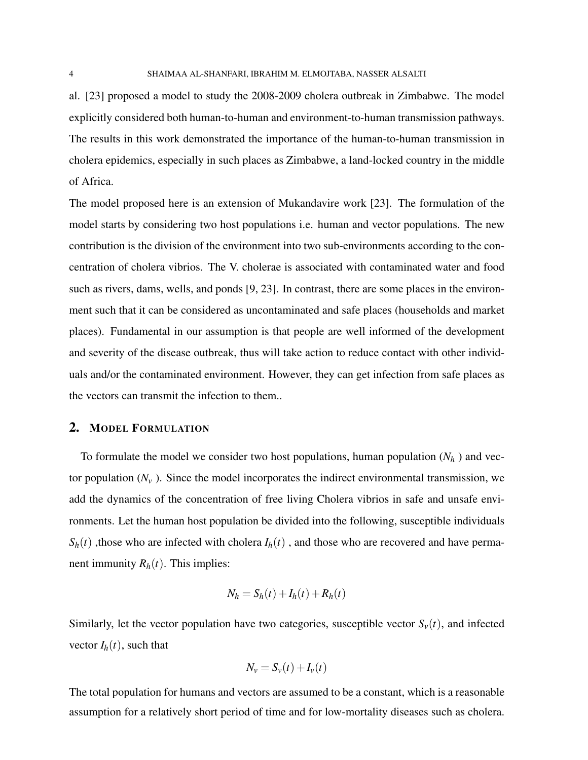al. [23] proposed a model to study the 2008-2009 cholera outbreak in Zimbabwe. The model explicitly considered both human-to-human and environment-to-human transmission pathways. The results in this work demonstrated the importance of the human-to-human transmission in cholera epidemics, especially in such places as Zimbabwe, a land-locked country in the middle of Africa.

The model proposed here is an extension of Mukandavire work [23]. The formulation of the model starts by considering two host populations i.e. human and vector populations. The new contribution is the division of the environment into two sub-environments according to the concentration of cholera vibrios. The V. cholerae is associated with contaminated water and food such as rivers, dams, wells, and ponds [9, 23]. In contrast, there are some places in the environment such that it can be considered as uncontaminated and safe places (households and market places). Fundamental in our assumption is that people are well informed of the development and severity of the disease outbreak, thus will take action to reduce contact with other individuals and/or the contaminated environment. However, they can get infection from safe places as the vectors can transmit the infection to them..

### 2. MODEL FORMULATION

To formulate the model we consider two host populations, human population  $(N_h)$  and vector population  $(N_v)$ . Since the model incorporates the indirect environmental transmission, we add the dynamics of the concentration of free living Cholera vibrios in safe and unsafe environments. Let the human host population be divided into the following, susceptible individuals  $S_h(t)$ , those who are infected with cholera  $I_h(t)$ , and those who are recovered and have permanent immunity  $R_h(t)$ . This implies:

$$
N_h = S_h(t) + I_h(t) + R_h(t)
$$

Similarly, let the vector population have two categories, susceptible vector  $S_v(t)$ , and infected vector  $I_h(t)$ , such that

$$
N_v = S_v(t) + I_v(t)
$$

The total population for humans and vectors are assumed to be a constant, which is a reasonable assumption for a relatively short period of time and for low-mortality diseases such as cholera.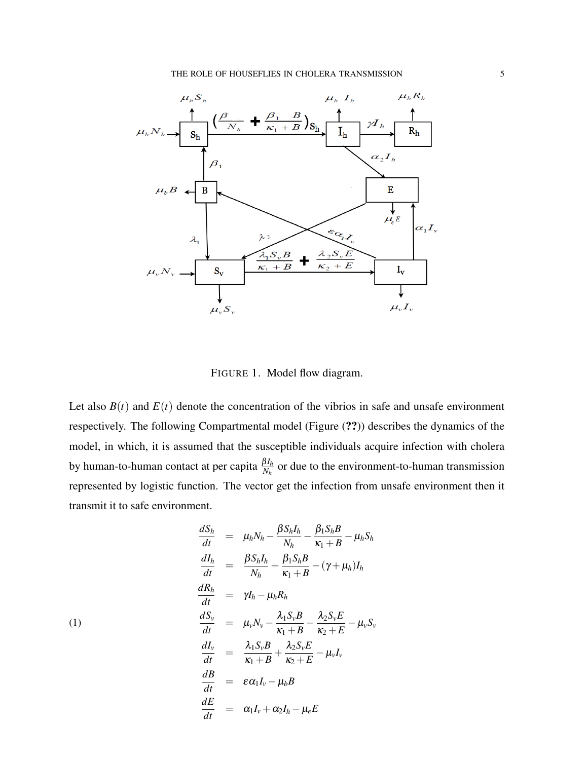

FIGURE 1. Model flow diagram.

Let also  $B(t)$  and  $E(t)$  denote the concentration of the vibrios in safe and unsafe environment respectively. The following Compartmental model (Figure (??)) describes the dynamics of the model, in which, it is assumed that the susceptible individuals acquire infection with cholera by human-to-human contact at per capita  $\frac{\beta I_h}{N_h}$  or due to the environment-to-human transmission represented by logistic function. The vector get the infection from unsafe environment then it transmit it to safe environment.

$$
\frac{dS_h}{dt} = \mu_h N_h - \frac{\beta S_h I_h}{N_h} - \frac{\beta_1 S_h B}{\kappa_1 + B} - \mu_h S_h
$$
\n
$$
\frac{dI_h}{dt} = \frac{\beta S_h I_h}{N_h} + \frac{\beta_1 S_h B}{\kappa_1 + B} - (\gamma + \mu_h) I_h
$$
\n
$$
\frac{dR_h}{dt} = \gamma I_h - \mu_h R_h
$$
\n(1)\n
$$
\frac{dS_v}{dt} = \mu_v N_v - \frac{\lambda_1 S_v B}{\kappa_1 + B} - \frac{\lambda_2 S_v E}{\kappa_2 + E} - \mu_v S_v
$$
\n
$$
\frac{dI_v}{dt} = \frac{\lambda_1 S_v B}{\kappa_1 + B} + \frac{\lambda_2 S_v E}{\kappa_2 + E} - \mu_v I_v
$$
\n
$$
\frac{dB}{dt} = \varepsilon \alpha_1 I_v - \mu_b B
$$
\n
$$
\frac{dE}{dt} = \alpha_1 I_v + \alpha_2 I_h - \mu_e E
$$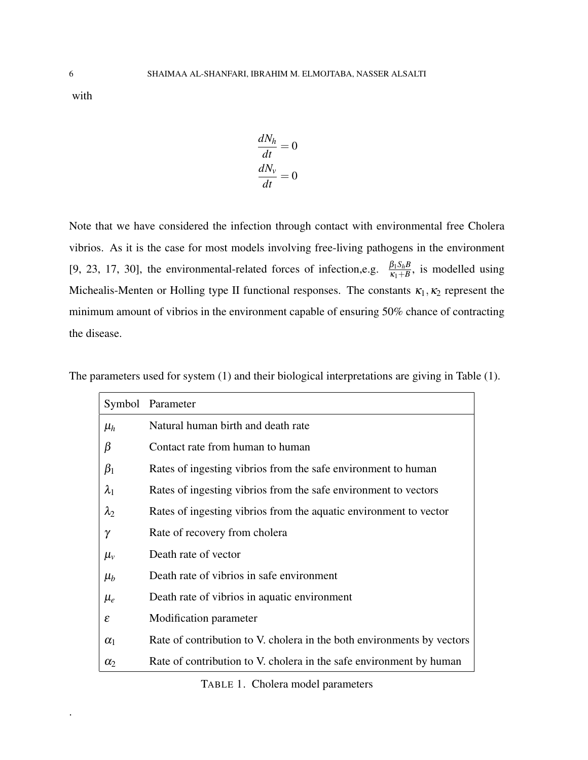with

$$
\frac{dN_h}{dt} = 0
$$

$$
\frac{dN_v}{dt} = 0
$$

Note that we have considered the infection through contact with environmental free Cholera vibrios. As it is the case for most models involving free-living pathogens in the environment [9, 23, 17, 30], the environmental-related forces of infection,e.g.  $\frac{\beta_1 S_h B}{\kappa_1 + B}$ , is modelled using Michealis-Menten or Holling type II functional responses. The constants  $\kappa_1, \kappa_2$  represent the minimum amount of vibrios in the environment capable of ensuring 50% chance of contracting the disease.

|             | Symbol Parameter                                                       |
|-------------|------------------------------------------------------------------------|
| $\mu_h$     | Natural human birth and death rate                                     |
| β           | Contact rate from human to human                                       |
| $\beta_1$   | Rates of ingesting vibrios from the safe environment to human          |
| $\lambda_1$ | Rates of ingesting vibrios from the safe environment to vectors        |
| $\lambda_2$ | Rates of ingesting vibrios from the aquatic environment to vector      |
| γ           | Rate of recovery from cholera                                          |
| $\mu_{v}$   | Death rate of vector                                                   |
| $\mu_b$     | Death rate of vibrios in safe environment                              |
| $\mu_e$     | Death rate of vibrios in aquatic environment                           |
| ε           | Modification parameter                                                 |
| $\alpha_1$  | Rate of contribution to V. cholera in the both environments by vectors |
| $\alpha$    | Rate of contribution to V. cholera in the safe environment by human    |

The parameters used for system (1) and their biological interpretations are giving in Table (1).

TABLE 1. Cholera model parameters

.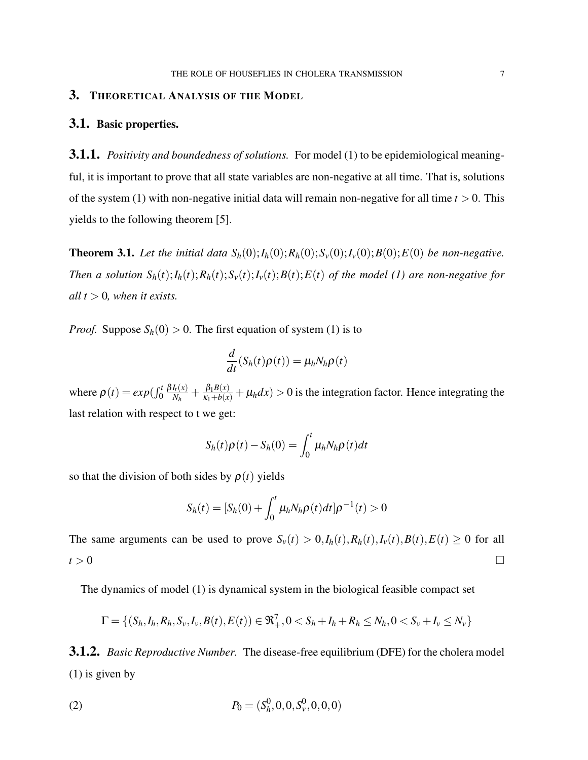# 3. THEORETICAL ANALYSIS OF THE MODEL

### 3.1. Basic properties.

3.1.1. *Positivity and boundedness of solutions.* For model (1) to be epidemiological meaningful, it is important to prove that all state variables are non-negative at all time. That is, solutions of the system (1) with non-negative initial data will remain non-negative for all time  $t > 0$ . This yields to the following theorem [5].

**Theorem 3.1.** Let the initial data  $S_h(0); I_h(0); R_h(0); S_v(0); I_v(0); B(0); E(0)$  *be non-negative.* Then a solution  $S_h(t); I_h(t); R_h(t); S_v(t); I_v(t); B(t); E(t)$  of the model (1) are non-negative for *all*  $t > 0$ *, when it exists.* 

*Proof.* Suppose  $S_h(0) > 0$ . The first equation of system (1) is to

$$
\frac{d}{dt}(S_h(t)\rho(t)) = \mu_h N_h \rho(t)
$$

where  $\rho(t) = exp(\int_0^t$ β*It*(*x*)  $\frac{I_h(x)}{N_h} + \frac{\beta_1 B(x)}{\kappa_1 + b(x)} + \mu_h dx$  > 0 is the integration factor. Hence integrating the last relation with respect to t we get:

$$
S_h(t)\rho(t) - S_h(0) = \int_0^t \mu_h N_h \rho(t) dt
$$

so that the division of both sides by  $\rho(t)$  yields

$$
S_h(t) = [S_h(0) + \int_0^t \mu_h N_h \rho(t) dt] \rho^{-1}(t) > 0
$$

The same arguments can be used to prove  $S_v(t) > 0, I_h(t), R_h(t), I_v(t), B(t), E(t) \ge 0$  for all  $t > 0$ 

The dynamics of model (1) is dynamical system in the biological feasible compact set

$$
\Gamma = \{(S_h, I_h, R_h, S_v, I_v, B(t), E(t)) \in \mathfrak{R}_+^7, 0 < S_h + I_h + R_h \le N_h, 0 < S_v + I_v \le N_v\}
$$

3.1.2. *Basic Reproductive Number.* The disease-free equilibrium (DFE) for the cholera model (1) is given by

(2) 
$$
P_0 = (S_h^0, 0, 0, S_v^0, 0, 0, 0)
$$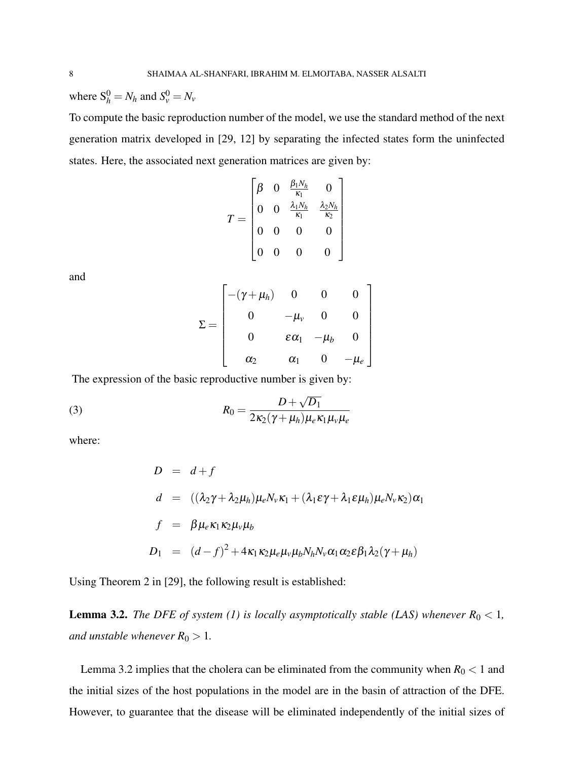where  $S_h^0 = N_h$  and  $S_v^0 = N_v$ 

To compute the basic reproduction number of the model, we use the standard method of the next generation matrix developed in [29, 12] by separating the infected states form the uninfected states. Here, the associated next generation matrices are given by:

$$
T = \begin{bmatrix} \beta & 0 & \frac{\beta_1 N_h}{\kappa_1} & 0 \\ 0 & 0 & \frac{\lambda_1 N_h}{\kappa_1} & \frac{\lambda_2 N_h}{\kappa_2} \\ 0 & 0 & 0 & 0 \\ 0 & 0 & 0 & 0 \end{bmatrix}
$$

and

$$
\Sigma = \begin{bmatrix} -(\gamma + \mu_h) & 0 & 0 & 0 \\ 0 & -\mu_v & 0 & 0 \\ 0 & \varepsilon \alpha_1 & -\mu_b & 0 \\ \alpha_2 & \alpha_1 & 0 & -\mu_e \end{bmatrix}
$$

The expression of the basic reproductive number is given by:

(3) 
$$
R_0 = \frac{D + \sqrt{D_1}}{2\kappa_2(\gamma + \mu_h)\mu_e\kappa_1\mu_v\mu_e}
$$

where:

$$
D = d + f
$$
  
\n
$$
d = ((\lambda_2 \gamma + \lambda_2 \mu_h) \mu_e N_v \kappa_1 + (\lambda_1 \varepsilon \gamma + \lambda_1 \varepsilon \mu_h) \mu_e N_v \kappa_2) \alpha_1
$$
  
\n
$$
f = \beta \mu_e \kappa_1 \kappa_2 \mu_v \mu_b
$$
  
\n
$$
D_1 = (d - f)^2 + 4\kappa_1 \kappa_2 \mu_e \mu_v \mu_b N_h N_v \alpha_1 \alpha_2 \varepsilon \beta_1 \lambda_2 (\gamma + \mu_h)
$$

Using Theorem 2 in [29], the following result is established:

**Lemma 3.2.** *The DFE of system (1) is locally asymptotically stable (LAS) whenever*  $R_0 < 1$ , *and unstable whenever*  $R_0 > 1$ *.* 

Lemma 3.2 implies that the cholera can be eliminated from the community when  $R_0 < 1$  and the initial sizes of the host populations in the model are in the basin of attraction of the DFE. However, to guarantee that the disease will be eliminated independently of the initial sizes of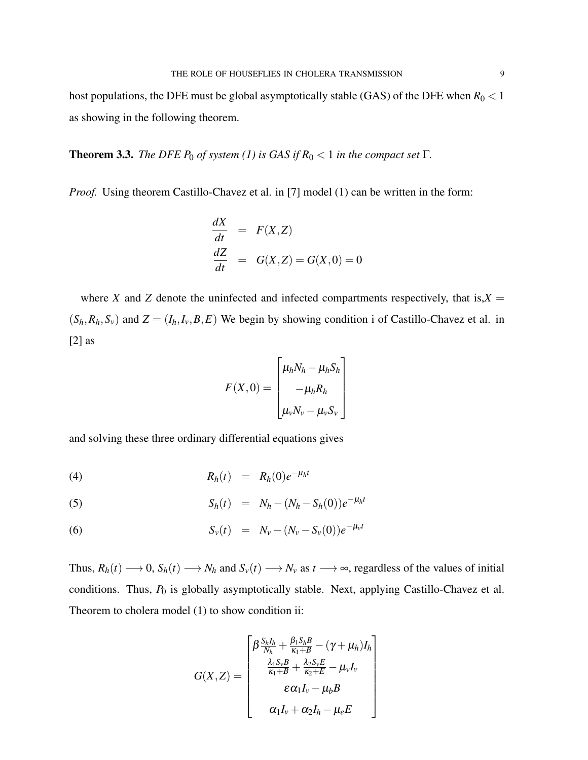host populations, the DFE must be global asymptotically stable (GAS) of the DFE when  $R_0 < 1$ as showing in the following theorem.

**Theorem 3.3.** *The DFE P*<sup>0</sup> *of system (1) is GAS if*  $R_0 < 1$  *in the compact set* Γ*.* 

*Proof.* Using theorem Castillo-Chavez et al. in [7] model (1) can be written in the form:

$$
\frac{dX}{dt} = F(X,Z)
$$
  

$$
\frac{dZ}{dt} = G(X,Z) = G(X,0) = 0
$$

where *X* and *Z* denote the uninfected and infected compartments respectively, that is, $X =$  $(S_h, R_h, S_v)$  and  $Z = (I_h, I_v, B, E)$  We begin by showing condition i of Castillo-Chavez et al. in [2] as

$$
F(X,0) = \begin{bmatrix} \mu_h N_h - \mu_h S_h \\ -\mu_h R_h \\ \mu_v N_v - \mu_v S_v \end{bmatrix}
$$

and solving these three ordinary differential equations gives

$$
(4) \hspace{1cm} R_h(t) = R_h(0)e^{-\mu_h t}
$$

(5) 
$$
S_h(t) = N_h - (N_h - S_h(0))e^{-\mu_h t}
$$

(6) 
$$
S_{\nu}(t) = N_{\nu} - (N_{\nu} - S_{\nu}(0))e^{-\mu_{\nu}t}
$$

Thus,  $R_h(t) \longrightarrow 0$ ,  $S_h(t) \longrightarrow N_h$  and  $S_v(t) \longrightarrow N_v$  as  $t \longrightarrow \infty$ , regardless of the values of initial conditions. Thus,  $P_0$  is globally asymptotically stable. Next, applying Castillo-Chavez et al. Theorem to cholera model (1) to show condition ii:

$$
G(X,Z) = \begin{bmatrix} \beta \frac{S_h I_h}{N_h} + \frac{\beta_1 S_h B}{\kappa_1 + B} - (\gamma + \mu_h) I_h \\ \frac{\lambda_1 S_v B}{\kappa_1 + B} + \frac{\lambda_2 S_v E}{\kappa_2 + E} - \mu_v I_v \\ \varepsilon \alpha_1 I_v - \mu_b B \\ \alpha_1 I_v + \alpha_2 I_h - \mu_e E \end{bmatrix}
$$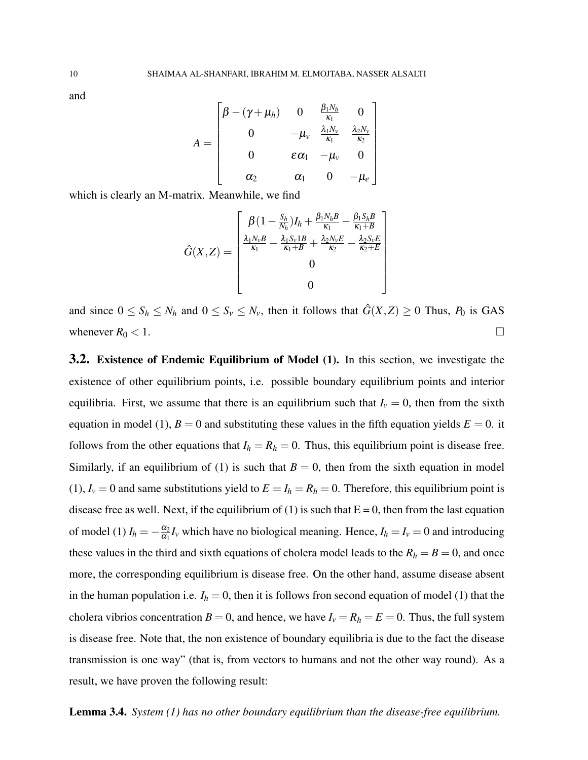and

$$
A = \begin{bmatrix} \beta - (\gamma + \mu_h) & 0 & \frac{\beta_1 N_h}{\kappa_1} & 0 \\ 0 & -\mu_v & \frac{\lambda_1 N_v}{\kappa_1} & \frac{\lambda_2 N_v}{\kappa_2} \\ 0 & \varepsilon \alpha_1 & -\mu_v & 0 \\ \alpha_2 & \alpha_1 & 0 & -\mu_e \end{bmatrix}
$$

which is clearly an M-matrix. Meanwhile, we find

$$
\hat{G}(X,Z) = \begin{bmatrix} \beta(1 - \frac{S_h}{N_h})I_h + \frac{\beta_1 N_h B}{\kappa_1} - \frac{\beta_1 S_h B}{\kappa_1 + B} \\ \frac{\lambda_1 N_v B}{\kappa_1} - \frac{\lambda_1 S_v 1B}{\kappa_1 + B} + \frac{\lambda_2 N_v E}{\kappa_2} - \frac{\lambda_2 S_v E}{\kappa_2 + E} \\ 0 \\ 0 \\ 0 \end{bmatrix}
$$

and since  $0 \leq S_h \leq N_h$  and  $0 \leq S_v \leq N_v$ , then it follows that  $\hat{G}(X, Z) \geq 0$  Thus,  $P_0$  is GAS whenever  $R_0 < 1$ .

3.2. Existence of Endemic Equilibrium of Model (1). In this section, we investigate the existence of other equilibrium points, i.e. possible boundary equilibrium points and interior equilibria. First, we assume that there is an equilibrium such that  $I<sub>v</sub> = 0$ , then from the sixth equation in model (1),  $B = 0$  and substituting these values in the fifth equation yields  $E = 0$ . it follows from the other equations that  $I_h = R_h = 0$ . Thus, this equilibrium point is disease free. Similarly, if an equilibrium of (1) is such that  $B = 0$ , then from the sixth equation in model (1),  $I_v = 0$  and same substitutions yield to  $E = I_h = R_h = 0$ . Therefore, this equilibrium point is disease free as well. Next, if the equilibrium of (1) is such that  $E = 0$ , then from the last equation of model (1)  $I_h = -\frac{\alpha_2}{\alpha_1}$  $\frac{\alpha_2}{\alpha_1} I_v$  which have no biological meaning. Hence,  $I_h = I_v = 0$  and introducing these values in the third and sixth equations of cholera model leads to the  $R_h = B = 0$ , and once more, the corresponding equilibrium is disease free. On the other hand, assume disease absent in the human population i.e.  $I_h = 0$ , then it is follows fron second equation of model (1) that the cholera vibrios concentration  $B = 0$ , and hence, we have  $I_v = R_h = E = 0$ . Thus, the full system is disease free. Note that, the non existence of boundary equilibria is due to the fact the disease transmission is one way" (that is, from vectors to humans and not the other way round). As a result, we have proven the following result:

Lemma 3.4. *System (1) has no other boundary equilibrium than the disease-free equilibrium.*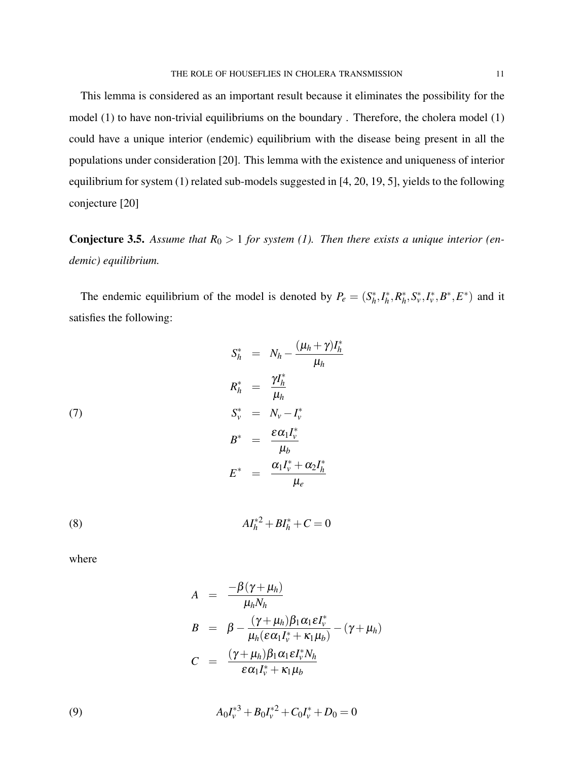This lemma is considered as an important result because it eliminates the possibility for the model (1) to have non-trivial equilibriums on the boundary . Therefore, the cholera model (1) could have a unique interior (endemic) equilibrium with the disease being present in all the populations under consideration [20]. This lemma with the existence and uniqueness of interior equilibrium for system (1) related sub-models suggested in [4, 20, 19, 5], yields to the following conjecture [20]

**Conjecture 3.5.** Assume that  $R_0 > 1$  for system (1). Then there exists a unique interior (en*demic) equilibrium.*

The endemic equilibrium of the model is denoted by  $P_e = (S_h^*)$  $h^*, I_h^*$ *h* ,*R* ∗  $h^*_{h}$ ,  $S_v^*$ ,  $I_v^*$ ,  $B^*$ ,  $E^*$ ) and it satisfies the following:

(7)  
\n
$$
S_h^* = N_h - \frac{(\mu_h + \gamma)I_h^*}{\mu_h}
$$
\n
$$
R_h^* = \frac{\gamma I_h^*}{\mu_h}
$$
\n
$$
S_v^* = N_v - I_v^*
$$
\n
$$
B^* = \frac{\varepsilon \alpha_1 I_v^*}{\mu_b}
$$
\n
$$
E^* = \frac{\alpha_1 I_v^* + \alpha_2 I_h^*}{\mu_e}
$$

(8) 
$$
AI_h^{*2} + BI_h^* + C = 0
$$

where

$$
A = \frac{-\beta(\gamma + \mu_h)}{\mu_h N_h}
$$
  
\n
$$
B = \beta - \frac{(\gamma + \mu_h)\beta_1 \alpha_1 \epsilon I_v^*}{\mu_h(\epsilon \alpha_1 I_v^* + \kappa_1 \mu_b)} - (\gamma + \mu_h)
$$
  
\n
$$
C = \frac{(\gamma + \mu_h)\beta_1 \alpha_1 \epsilon I_v^* N_h}{\epsilon \alpha_1 I_v^* + \kappa_1 \mu_b}
$$

(9) 
$$
A_0I_v^{*3} + B_0I_v^{*2} + C_0I_v^{*} + D_0 = 0
$$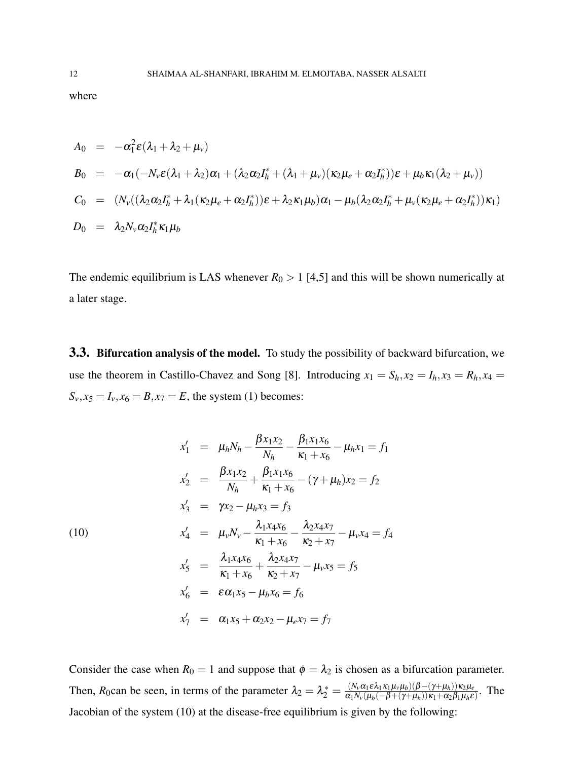where

$$
A_0 = -\alpha_1^2 \varepsilon (\lambda_1 + \lambda_2 + \mu_v)
$$
  
\n
$$
B_0 = -\alpha_1 (-N_v \varepsilon (\lambda_1 + \lambda_2) \alpha_1 + (\lambda_2 \alpha_2 I_h^* + (\lambda_1 + \mu_v) (\kappa_2 \mu_e + \alpha_2 I_h^*)) \varepsilon + \mu_b \kappa_1 (\lambda_2 + \mu_v))
$$
  
\n
$$
C_0 = (N_v ((\lambda_2 \alpha_2 I_h^* + \lambda_1 (\kappa_2 \mu_e + \alpha_2 I_h^*)) \varepsilon + \lambda_2 \kappa_1 \mu_b) \alpha_1 - \mu_b (\lambda_2 \alpha_2 I_h^* + \mu_v (\kappa_2 \mu_e + \alpha_2 I_h^*)) \kappa_1)
$$
  
\n
$$
D_0 = \lambda_2 N_v \alpha_2 I_h^* \kappa_1 \mu_b
$$

The endemic equilibrium is LAS whenever  $R_0 > 1$  [4,5] and this will be shown numerically at a later stage.

3.3. Bifurcation analysis of the model. To study the possibility of backward bifurcation, we use the theorem in Castillo-Chavez and Song [8]. Introducing  $x_1 = S_h$ ,  $x_2 = I_h$ ,  $x_3 = R_h$ ,  $x_4 =$  $S_v$ ,  $x_5 = I_v$ ,  $x_6 = B$ ,  $x_7 = E$ , the system (1) becomes:

$$
x'_1 = \mu_h N_h - \frac{\beta x_1 x_2}{N_h} - \frac{\beta_1 x_1 x_6}{\kappa_1 + x_6} - \mu_h x_1 = f_1
$$
  
\n
$$
x'_2 = \frac{\beta x_1 x_2}{N_h} + \frac{\beta_1 x_1 x_6}{\kappa_1 + x_6} - (\gamma + \mu_h) x_2 = f_2
$$
  
\n
$$
x'_3 = \gamma x_2 - \mu_h x_3 = f_3
$$
  
\n(10)  
\n
$$
x'_4 = \mu_v N_v - \frac{\lambda_1 x_4 x_6}{\kappa_1 + x_6} - \frac{\lambda_2 x_4 x_7}{\kappa_2 + x_7} - \mu_v x_4 = f_4
$$
  
\n
$$
x'_5 = \frac{\lambda_1 x_4 x_6}{\kappa_1 + x_6} + \frac{\lambda_2 x_4 x_7}{\kappa_2 + x_7} - \mu_v x_5 = f_5
$$
  
\n
$$
x'_6 = \varepsilon \alpha_1 x_5 - \mu_b x_6 = f_6
$$
  
\n
$$
x'_7 = \alpha_1 x_5 + \alpha_2 x_2 - \mu_e x_7 = f_7
$$

Consider the case when  $R_0 = 1$  and suppose that  $\phi = \lambda_2$  is chosen as a bifurcation parameter. Then, *R*<sub>0</sub>can be seen, in terms of the parameter  $\lambda_2 = \lambda_2^* = \frac{(N_\nu \alpha_1 \varepsilon \lambda_1 \kappa_1 \mu_\nu \mu_b)(\beta - (\gamma + \mu_h))\kappa_2 \mu_e}{\alpha_1 N_\nu (\mu_b(-\beta + (\gamma + \mu_h))\kappa_1 + \alpha_2 \beta_1 \mu_h \varepsilon)}$  $\frac{\left(N_v a_1 \varepsilon \lambda_1 \kappa_1 \mu_v \mu_b\right)\left(\beta - \left(\gamma + \mu_h\right)\right) \kappa_2 \mu_e}{\alpha_1 N_v (\mu_b(-\beta + \left(\gamma + \mu_h\right)) \kappa_1 + \alpha_2 \beta_1 \mu_h \varepsilon)}.$  The Jacobian of the system (10) at the disease-free equilibrium is given by the following: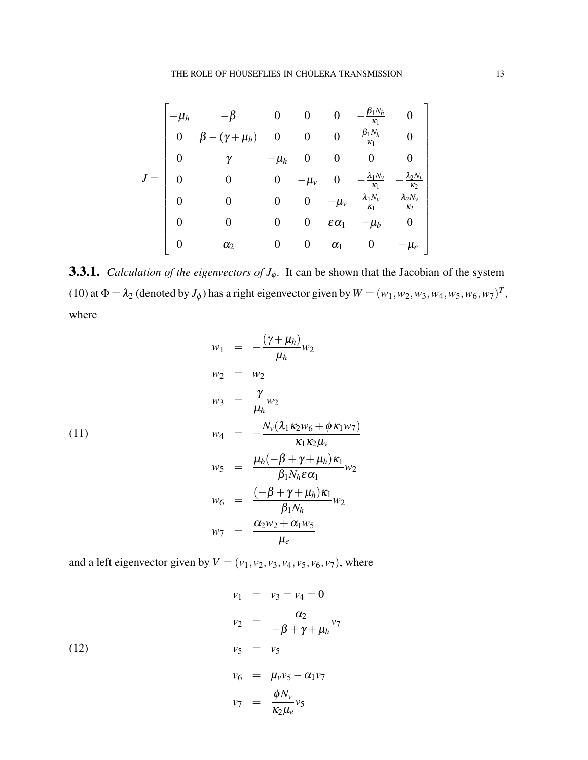$$
J = \begin{bmatrix}\n-\mu_h & -\beta & 0 & 0 & 0 & -\frac{\beta_1 N_h}{\kappa_1} & 0 \\
0 & \beta - (\gamma + \mu_h) & 0 & 0 & 0 & \frac{\beta_1 N_h}{\kappa_1} & 0 \\
0 & \gamma & -\mu_h & 0 & 0 & 0 & 0 \\
0 & 0 & 0 & -\mu_v & 0 & -\frac{\lambda_1 N_v}{\kappa_1} & -\frac{\lambda_2 N_v}{\kappa_2} \\
0 & 0 & 0 & 0 & -\mu_v & \frac{\lambda_1 N_v}{\kappa_1} & \frac{\lambda_2 N_v}{\kappa_2} \\
0 & 0 & 0 & 0 & \varepsilon \alpha_1 & -\mu_b & 0 \\
0 & \alpha_2 & 0 & 0 & \alpha_1 & 0 & -\mu_e\n\end{bmatrix}
$$

**3.3.1.** *Calculation of the eigenvectors of*  $J_\phi$ . It can be shown that the Jacobian of the system (10) at  $\Phi = \lambda_2$  (denoted by  $J_{\phi}$ ) has a right eigenvector given by  $W = (w_1, w_2, w_3, w_4, w_5, w_6, w_7)^T$ , where

κ2µ*e*

$$
w_1 = -\frac{(\gamma + \mu_h)}{\mu_h} w_2
$$
  
\n
$$
w_2 = w_2
$$
  
\n
$$
w_3 = \frac{\gamma}{\mu_h} w_2
$$
  
\n
$$
w_4 = -\frac{N_v(\lambda_1 \kappa_2 w_6 + \phi \kappa_1 w_7)}{\kappa_1 \kappa_2 \mu_v}
$$
  
\n
$$
w_5 = \frac{\mu_b(-\beta + \gamma + \mu_h) \kappa_1}{\beta_1 N_h \epsilon \alpha_1} w_2
$$
  
\n
$$
w_6 = \frac{(-\beta + \gamma + \mu_h) \kappa_1}{\beta_1 N_h} w_2
$$
  
\n
$$
w_7 = \frac{\alpha_2 w_2 + \alpha_1 w_5}{\mu_e}
$$

and a left eigenvector given by  $V = (v_1, v_2, v_3, v_4, v_5, v_6, v_7)$ , where

(12)  
\n
$$
v_1 = v_3 = v_4 = 0
$$
\n
$$
v_2 = \frac{\alpha_2}{-\beta + \gamma + \mu_h} v_7
$$
\n
$$
v_5 = v_5
$$
\n
$$
v_6 = \mu_v v_5 - \alpha_1 v_7
$$
\n
$$
v_7 = \frac{\phi N_v}{\kappa} v_5
$$

1

 $\overline{1}$  $\overline{1}$  $\mathbf{I}$  $\vert$  $\overline{1}$  $\overline{1}$  $\overline{1}$  $\overline{1}$  $\overline{1}$  $\overline{1}$  $\mathbf{I}$  $\vert$  $\overline{1}$  $\overline{1}$  $\overline{1}$  $\overline{1}$  $\overline{1}$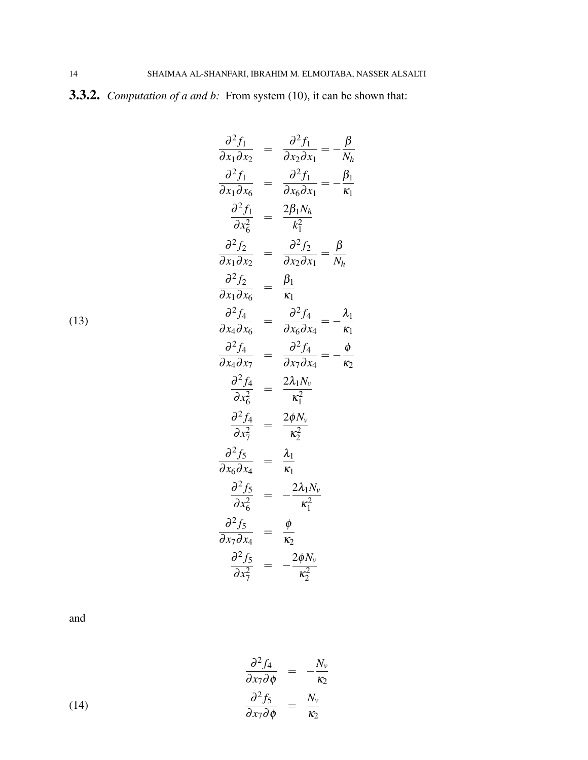3.3.2. *Computation of a and b:* From system (10), it can be shown that:

$$
\frac{\partial^2 f_1}{\partial x_1 \partial x_2} = \frac{\partial^2 f_1}{\partial x_2 \partial x_1} = -\frac{\beta}{N_h}
$$
\n
$$
\frac{\partial^2 f_1}{\partial x_1 \partial x_6} = \frac{\partial^2 f_1}{\partial x_6 \partial x_1} = -\frac{\beta_1}{K_1}
$$
\n
$$
\frac{\partial^2 f_1}{\partial x_6^2} = \frac{2\beta_1 N_h}{k_1^2}
$$
\n
$$
\frac{\partial^2 f_2}{\partial x_1 \partial x_2} = \frac{\partial^2 f_2}{\partial x_2 \partial x_1} = \frac{\beta}{N_h}
$$
\n
$$
\frac{\partial^2 f_2}{\partial x_1 \partial x_6} = \frac{\beta_1}{K_1}
$$
\n
$$
\frac{\partial^2 f_4}{\partial x_4 \partial x_6} = \frac{\partial^2 f_4}{\partial x_1 \partial x_4} = -\frac{\lambda_1}{K_1}
$$
\n
$$
\frac{\partial^2 f_4}{\partial x_4 \partial x_7} = \frac{\partial^2 f_4}{\partial x_7 \partial x_4} = -\frac{\phi}{K_2}
$$
\n
$$
\frac{\partial^2 f_4}{\partial x_6^2} = \frac{2\lambda_1 N_v}{K_1^2}
$$
\n
$$
\frac{\partial^2 f_5}{\partial x_6^2} = \frac{\lambda_1}{K_1}
$$
\n
$$
\frac{\partial^2 f_5}{\partial x_6 \partial x_4} = \frac{\lambda_1}{K_1}
$$
\n
$$
\frac{\partial^2 f_5}{\partial x_6^2} = -\frac{2\lambda_1 N_v}{K_1^2}
$$
\n
$$
\frac{\partial^2 f_5}{\partial x_7 \partial x_4} = \frac{\phi}{K_2}
$$
\n
$$
\frac{\partial^2 f_5}{\partial x_7^2} = \frac{\phi}{K_2^2}
$$

and

(14)  
\n
$$
\frac{\partial^2 f_4}{\partial x_7 \partial \phi} = -\frac{N_v}{\kappa_2}
$$
\n
$$
\frac{\partial^2 f_5}{\partial x_7 \partial \phi} = \frac{N_v}{\kappa_2}
$$

(13)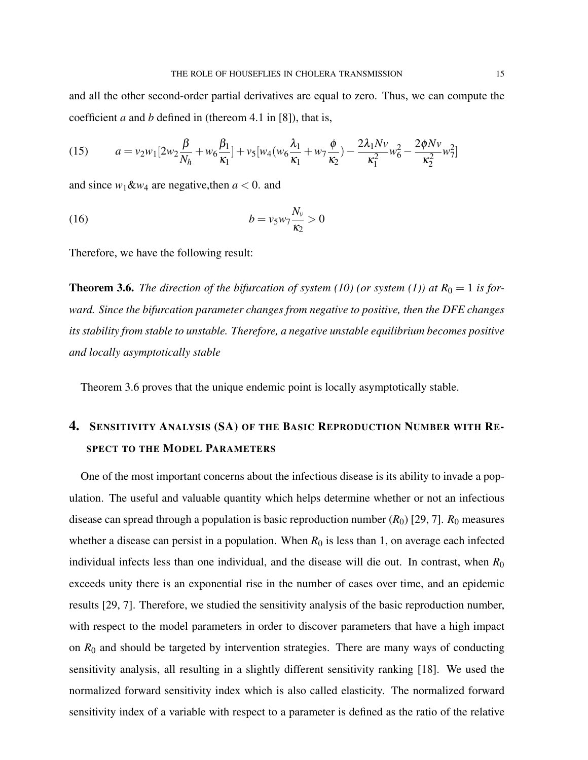and all the other second-order partial derivatives are equal to zero. Thus, we can compute the coefficient *a* and *b* defined in (thereom 4.1 in [8]), that is,

(15) 
$$
a = v_2 w_1 \left[ 2w_2 \frac{\beta}{N_h} + w_6 \frac{\beta_1}{\kappa_1} \right] + v_5 \left[ w_4 \left( w_6 \frac{\lambda_1}{\kappa_1} + w_7 \frac{\phi}{\kappa_2} \right) - \frac{2 \lambda_1 N v}{\kappa_1^2} w_6^2 - \frac{2 \phi N v}{\kappa_2^2} w_7^2 \right]
$$

and since  $w_1 \& w_4$  are negative, then  $a < 0$ . and

$$
(16) \t\t b = v_5 w_7 \frac{N_v}{\kappa_2} > 0
$$

Therefore, we have the following result:

**Theorem 3.6.** *The direction of the bifurcation of system (10) (or system (1)) at*  $R_0 = 1$  *is forward. Since the bifurcation parameter changes from negative to positive, then the DFE changes its stability from stable to unstable. Therefore, a negative unstable equilibrium becomes positive and locally asymptotically stable*

Theorem 3.6 proves that the unique endemic point is locally asymptotically stable.

# 4. SENSITIVITY ANALYSIS (SA) OF THE BASIC REPRODUCTION NUMBER WITH RE-SPECT TO THE MODEL PARAMETERS

One of the most important concerns about the infectious disease is its ability to invade a population. The useful and valuable quantity which helps determine whether or not an infectious disease can spread through a population is basic reproduction number  $(R_0)$  [29, 7].  $R_0$  measures whether a disease can persist in a population. When  $R_0$  is less than 1, on average each infected individual infects less than one individual, and the disease will die out. In contrast, when  $R_0$ exceeds unity there is an exponential rise in the number of cases over time, and an epidemic results [29, 7]. Therefore, we studied the sensitivity analysis of the basic reproduction number, with respect to the model parameters in order to discover parameters that have a high impact on  $R_0$  and should be targeted by intervention strategies. There are many ways of conducting sensitivity analysis, all resulting in a slightly different sensitivity ranking [18]. We used the normalized forward sensitivity index which is also called elasticity. The normalized forward sensitivity index of a variable with respect to a parameter is defined as the ratio of the relative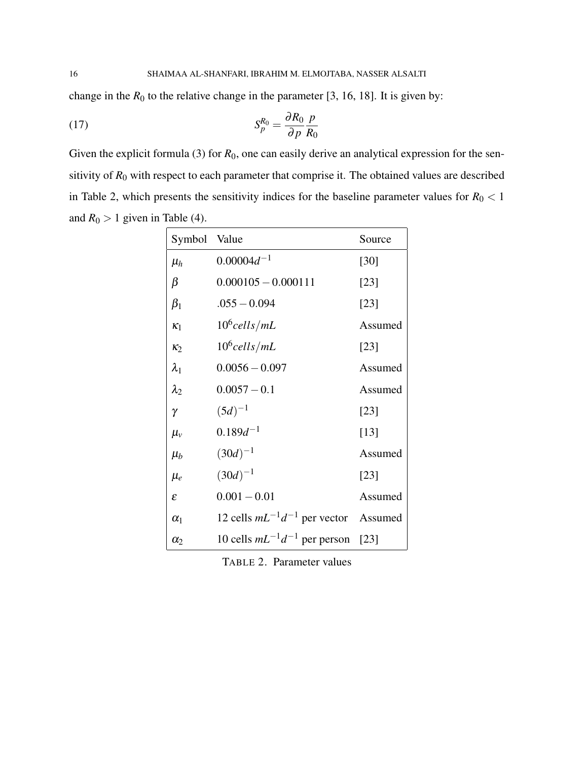change in the  $R_0$  to the relative change in the parameter [3, 16, 18]. It is given by:

$$
(17)\t\t\t S_p^{R_0} = \frac{\partial R_0}{\partial p} \frac{p}{R_0}
$$

Given the explicit formula (3) for  $R_0$ , one can easily derive an analytical expression for the sensitivity of  $R_0$  with respect to each parameter that comprise it. The obtained values are described in Table 2, which presents the sensitivity indices for the baseline parameter values for  $R_0 < 1$ and  $R_0 > 1$  given in Table (4).

| Symbol Value  |                                             | Source  |
|---------------|---------------------------------------------|---------|
| $\mu_h$       | $0.00004d^{-1}$                             | [30]    |
| β             | $0.000105 - 0.000111$                       | [23]    |
| $\beta_1$     | $.055 - 0.094$                              | [23]    |
| $\kappa_1$    | $10^6$ cells/mL                             | Assumed |
| $\kappa_2$    | $10^6$ cells/mL                             | [23]    |
| $\lambda_1$   | $0.0056 - 0.097$                            | Assumed |
| $\lambda_2$   | $0.0057 - 0.1$                              | Assumed |
| $\gamma$      | $(5d)^{-1}$                                 | [23]    |
| $\mu_{v}$     | $0.189d^{-1}$                               | [13]    |
| $\mu_b$       | $(30d)^{-1}$                                | Assumed |
| $\mu_e$       | $(30d)^{-1}$                                | [23]    |
| $\varepsilon$ | $0.001 - 0.01$                              | Assumed |
| $\alpha_1$    | 12 cells $mL^{-1}d^{-1}$ per vector Assumed |         |
| $\alpha_2$    | 10 cells $mL^{-1}d^{-1}$ per person [23]    |         |

TABLE 2. Parameter values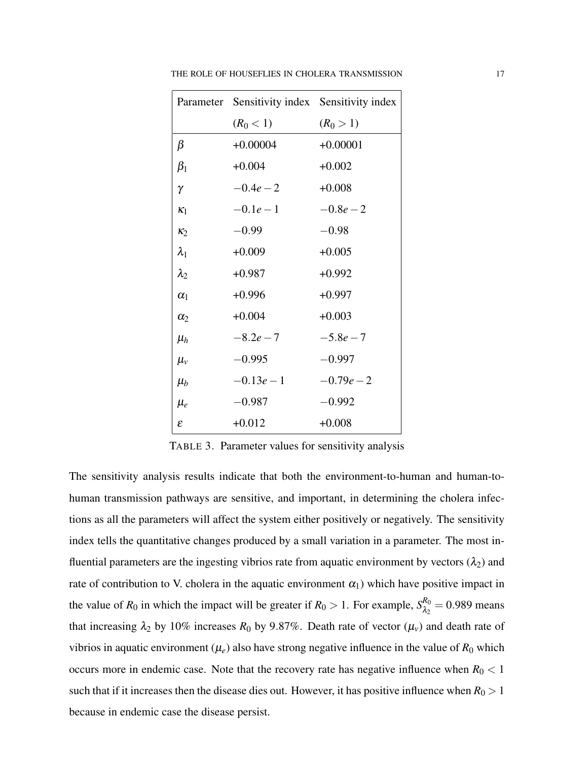|                | Parameter Sensitivity index Sensitivity index |             |
|----------------|-----------------------------------------------|-------------|
|                | $(R_0 < 1)$                                   | $(R_0 > 1)$ |
| $\beta$        | $+0.00004$                                    | $+0.00001$  |
| $\beta_1$      | $+0.004$                                      | $+0.002$    |
| γ              | $-0.4e-2$                                     | $+0.008$    |
| K <sub>1</sub> | $-0.1e-1$                                     | $-0.8e-2$   |
| $\kappa_2$     | $-0.99$                                       | $-0.98$     |
| $\lambda_1$    | $+0.009$                                      | $+0.005$    |
| $\lambda_2$    | $+0.987$                                      | $+0.992$    |
| $\alpha_1$     | $+0.996$                                      | $+0.997$    |
| $\alpha_2$     | $+0.004$                                      | $+0.003$    |
| $\mu_h$        | $-8.2e-7$                                     | $-5.8e-7$   |
| $\mu_{v}$      | $-0.995$                                      | $-0.997$    |
| $\mu_b$        | $-0.13e-1$                                    | $-0.79e-2$  |
| $\mu_e$        | $-0.987$                                      | $-0.992$    |
| $\mathcal E$   | $+0.012$                                      | $+0.008$    |

THE ROLE OF HOUSEFLIES IN CHOLERA TRANSMISSION 17

TABLE 3. Parameter values for sensitivity analysis

The sensitivity analysis results indicate that both the environment-to-human and human-tohuman transmission pathways are sensitive, and important, in determining the cholera infections as all the parameters will affect the system either positively or negatively. The sensitivity index tells the quantitative changes produced by a small variation in a parameter. The most influential parameters are the ingesting vibrios rate from aquatic environment by vectors  $(\lambda_2)$  and rate of contribution to V. cholera in the aquatic environment  $\alpha_1$ ) which have positive impact in the value of  $R_0$  in which the impact will be greater if  $R_0 > 1$ . For example,  $S_{\lambda_0}^{R_0}$  $\frac{\pi_0}{\lambda_2}$  = 0.989 means that increasing  $\lambda_2$  by 10% increases  $R_0$  by 9.87%. Death rate of vector  $(\mu_v)$  and death rate of vibrios in aquatic environment ( $\mu_e$ ) also have strong negative influence in the value of  $R_0$  which occurs more in endemic case. Note that the recovery rate has negative influence when  $R_0 < 1$ such that if it increases then the disease dies out. However, it has positive influence when  $R_0 > 1$ because in endemic case the disease persist.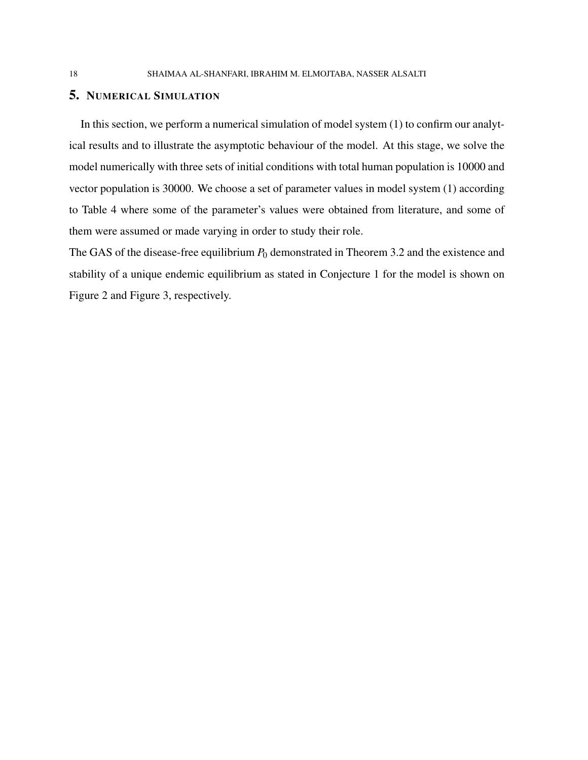# 5. NUMERICAL SIMULATION

In this section, we perform a numerical simulation of model system (1) to confirm our analytical results and to illustrate the asymptotic behaviour of the model. At this stage, we solve the model numerically with three sets of initial conditions with total human population is 10000 and vector population is 30000. We choose a set of parameter values in model system (1) according to Table 4 where some of the parameter's values were obtained from literature, and some of them were assumed or made varying in order to study their role.

The GAS of the disease-free equilibrium  $P_0$  demonstrated in Theorem 3.2 and the existence and stability of a unique endemic equilibrium as stated in Conjecture 1 for the model is shown on Figure 2 and Figure 3, respectively.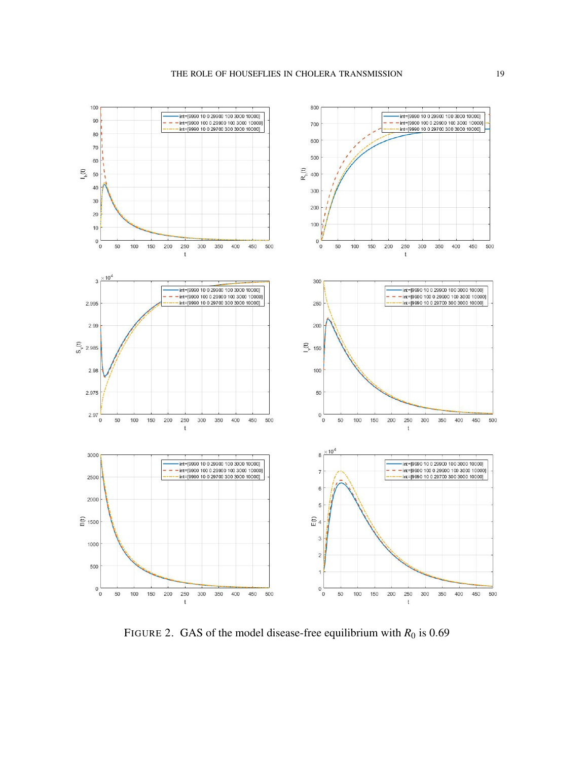

FIGURE 2. GAS of the model disease-free equilibrium with  $R_0$  is 0.69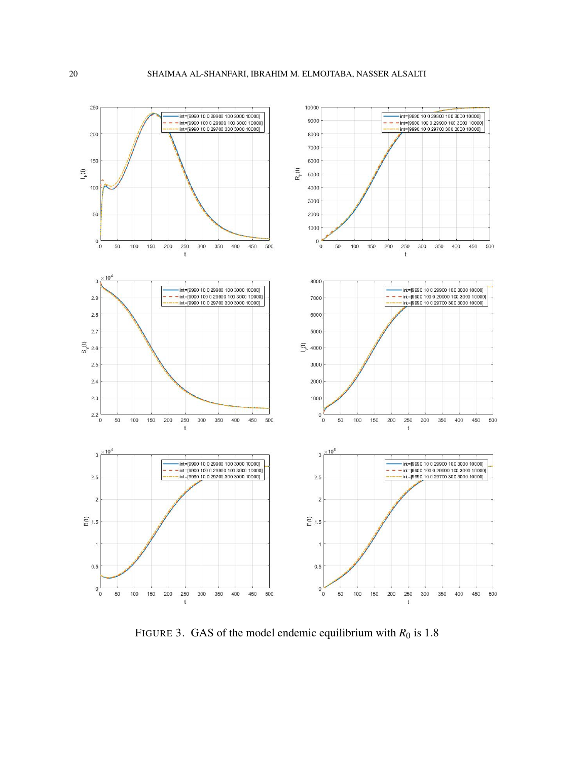

FIGURE 3. GAS of the model endemic equilibrium with  $R_0$  is 1.8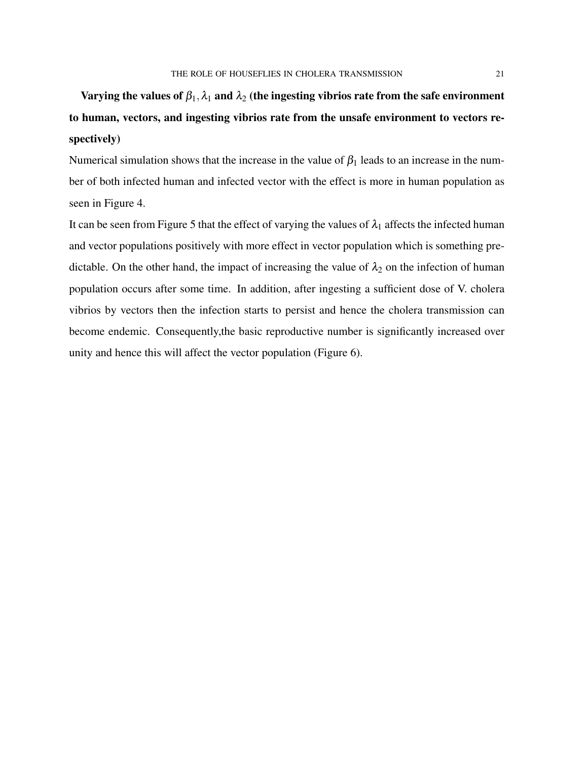# Varying the values of  $\beta_1, \lambda_1$  and  $\lambda_2$  (the ingesting vibrios rate from the safe environment to human, vectors, and ingesting vibrios rate from the unsafe environment to vectors respectively)

Numerical simulation shows that the increase in the value of  $\beta_1$  leads to an increase in the number of both infected human and infected vector with the effect is more in human population as seen in Figure 4.

It can be seen from Figure 5 that the effect of varying the values of  $\lambda_1$  affects the infected human and vector populations positively with more effect in vector population which is something predictable. On the other hand, the impact of increasing the value of  $\lambda_2$  on the infection of human population occurs after some time. In addition, after ingesting a sufficient dose of V. cholera vibrios by vectors then the infection starts to persist and hence the cholera transmission can become endemic. Consequently,the basic reproductive number is significantly increased over unity and hence this will affect the vector population (Figure 6).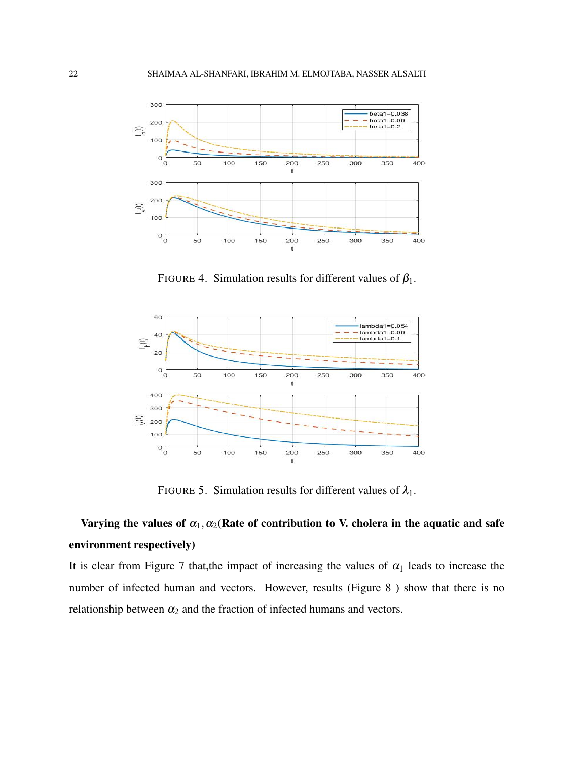

FIGURE 4. Simulation results for different values of  $\beta_1$ .



FIGURE 5. Simulation results for different values of  $\lambda_1$ .

# Varying the values of  $\alpha_1, \alpha_2$ (Rate of contribution to V. cholera in the aquatic and safe environment respectively)

It is clear from Figure 7 that, the impact of increasing the values of  $\alpha_1$  leads to increase the number of infected human and vectors. However, results (Figure 8 ) show that there is no relationship between  $\alpha_2$  and the fraction of infected humans and vectors.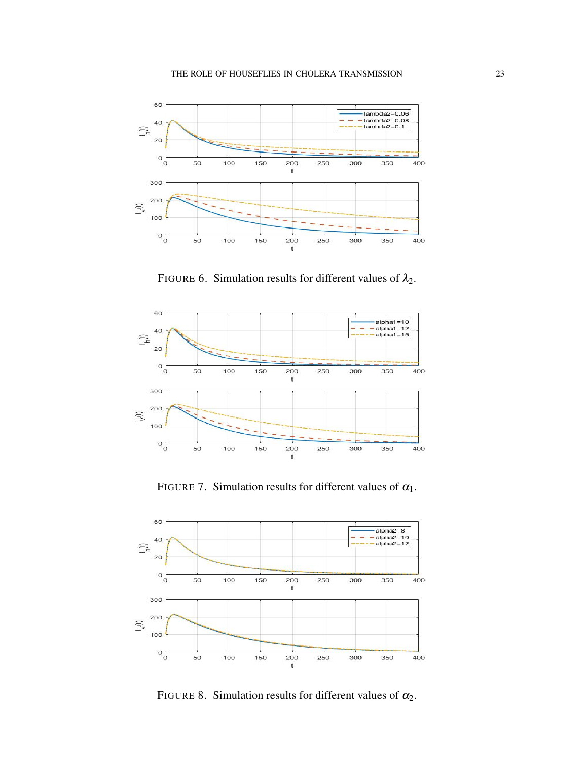

FIGURE 6. Simulation results for different values of  $\lambda_2$ .



FIGURE 7. Simulation results for different values of  $\alpha_1$ .



FIGURE 8. Simulation results for different values of  $\alpha_2$ .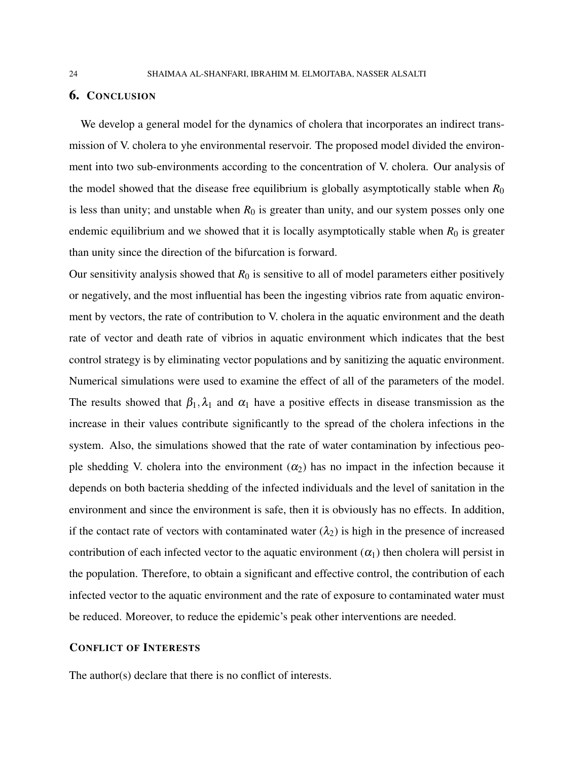# 6. CONCLUSION

We develop a general model for the dynamics of cholera that incorporates an indirect transmission of V. cholera to yhe environmental reservoir. The proposed model divided the environment into two sub-environments according to the concentration of V. cholera. Our analysis of the model showed that the disease free equilibrium is globally asymptotically stable when  $R_0$ is less than unity; and unstable when  $R_0$  is greater than unity, and our system posses only one endemic equilibrium and we showed that it is locally asymptotically stable when  $R_0$  is greater than unity since the direction of the bifurcation is forward.

Our sensitivity analysis showed that  $R_0$  is sensitive to all of model parameters either positively or negatively, and the most influential has been the ingesting vibrios rate from aquatic environment by vectors, the rate of contribution to V. cholera in the aquatic environment and the death rate of vector and death rate of vibrios in aquatic environment which indicates that the best control strategy is by eliminating vector populations and by sanitizing the aquatic environment. Numerical simulations were used to examine the effect of all of the parameters of the model. The results showed that  $\beta_1, \lambda_1$  and  $\alpha_1$  have a positive effects in disease transmission as the increase in their values contribute significantly to the spread of the cholera infections in the system. Also, the simulations showed that the rate of water contamination by infectious people shedding V. cholera into the environment  $(\alpha_2)$  has no impact in the infection because it depends on both bacteria shedding of the infected individuals and the level of sanitation in the environment and since the environment is safe, then it is obviously has no effects. In addition, if the contact rate of vectors with contaminated water  $(\lambda_2)$  is high in the presence of increased contribution of each infected vector to the aquatic environment  $(\alpha_1)$  then cholera will persist in the population. Therefore, to obtain a significant and effective control, the contribution of each infected vector to the aquatic environment and the rate of exposure to contaminated water must be reduced. Moreover, to reduce the epidemic's peak other interventions are needed.

## CONFLICT OF INTERESTS

The author(s) declare that there is no conflict of interests.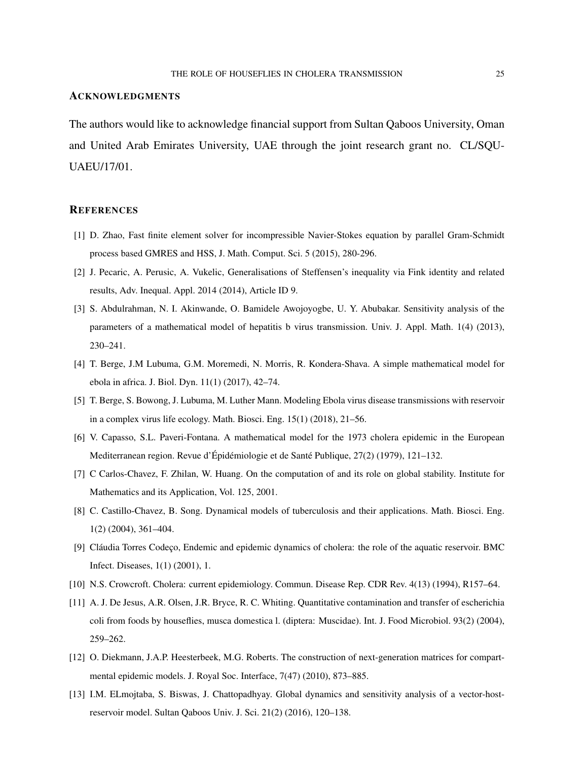#### ACKNOWLEDGMENTS

The authors would like to acknowledge financial support from Sultan Qaboos University, Oman and United Arab Emirates University, UAE through the joint research grant no. CL/SQU-UAEU/17/01.

#### **REFERENCES**

- [1] D. Zhao, Fast finite element solver for incompressible Navier-Stokes equation by parallel Gram-Schmidt process based GMRES and HSS, J. Math. Comput. Sci. 5 (2015), 280-296.
- [2] J. Pecaric, A. Perusic, A. Vukelic, Generalisations of Steffensen's inequality via Fink identity and related results, Adv. Inequal. Appl. 2014 (2014), Article ID 9.
- [3] S. Abdulrahman, N. I. Akinwande, O. Bamidele Awojoyogbe, U. Y. Abubakar. Sensitivity analysis of the parameters of a mathematical model of hepatitis b virus transmission. Univ. J. Appl. Math. 1(4) (2013), 230–241.
- [4] T. Berge, J.M Lubuma, G.M. Moremedi, N. Morris, R. Kondera-Shava. A simple mathematical model for ebola in africa. J. Biol. Dyn. 11(1) (2017), 42–74.
- [5] T. Berge, S. Bowong, J. Lubuma, M. Luther Mann. Modeling Ebola virus disease transmissions with reservoir in a complex virus life ecology. Math. Biosci. Eng. 15(1) (2018), 21–56.
- [6] V. Capasso, S.L. Paveri-Fontana. A mathematical model for the 1973 cholera epidemic in the European Mediterranean region. Revue d'Épidémiologie et de Santé Publique,  $27(2)$  (1979), 121–132.
- [7] C Carlos-Chavez, F. Zhilan, W. Huang. On the computation of and its role on global stability. Institute for Mathematics and its Application, Vol. 125, 2001.
- [8] C. Castillo-Chavez, B. Song. Dynamical models of tuberculosis and their applications. Math. Biosci. Eng. 1(2) (2004), 361–404.
- [9] Cláudia Torres Codeço, Endemic and epidemic dynamics of cholera: the role of the aquatic reservoir. BMC Infect. Diseases, 1(1) (2001), 1.
- [10] N.S. Crowcroft. Cholera: current epidemiology. Commun. Disease Rep. CDR Rev. 4(13) (1994), R157–64.
- [11] A. J. De Jesus, A.R. Olsen, J.R. Bryce, R. C. Whiting. Quantitative contamination and transfer of escherichia coli from foods by houseflies, musca domestica l. (diptera: Muscidae). Int. J. Food Microbiol. 93(2) (2004), 259–262.
- [12] O. Diekmann, J.A.P. Heesterbeek, M.G. Roberts. The construction of next-generation matrices for compartmental epidemic models. J. Royal Soc. Interface, 7(47) (2010), 873–885.
- [13] I.M. ELmojtaba, S. Biswas, J. Chattopadhyay. Global dynamics and sensitivity analysis of a vector-hostreservoir model. Sultan Qaboos Univ. J. Sci. 21(2) (2016), 120–138.